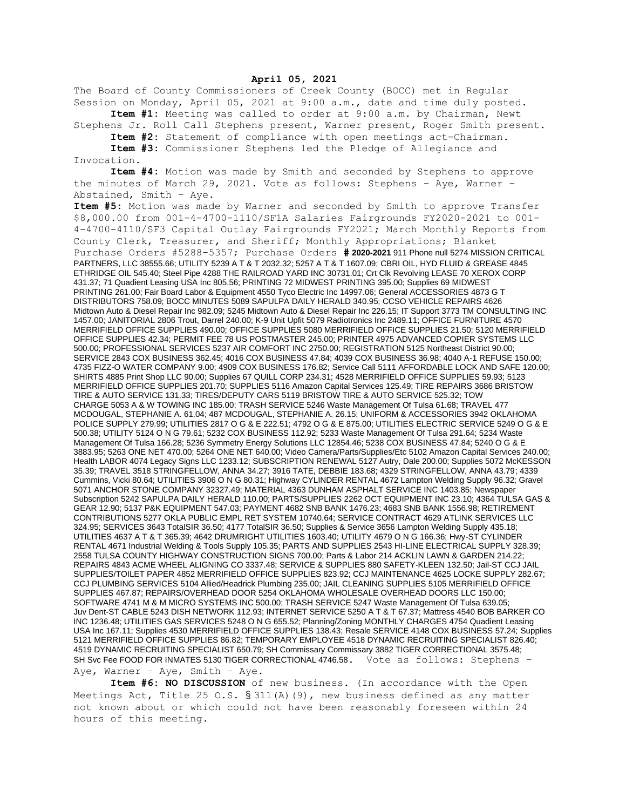## **April 05, 2021**

The Board of County Commissioners of Creek County (BOCC) met in Regular Session on Monday, April 05, 2021 at 9:00 a.m., date and time duly posted.

**Item #1:** Meeting was called to order at 9:00 a.m. by Chairman, Newt Stephens Jr. Roll Call Stephens present, Warner present, Roger Smith present.

**Item #2:** Statement of compliance with open meetings act-Chairman.

**Item #3:** Commissioner Stephens led the Pledge of Allegiance and Invocation.

**Item #4:** Motion was made by Smith and seconded by Stephens to approve the minutes of March 29, 2021. Vote as follows: Stephens – Aye, Warner – Abstained, Smith – Aye.

**Item #5:** Motion was made by Warner and seconded by Smith to approve Transfer \$8,000.00 from 001-4-4700-1110/SF1A Salaries Fairgrounds FY2020-2021 to 001- 4-4700-4110/SF3 Capital Outlay Fairgrounds FY2021; March Monthly Reports from County Clerk, Treasurer, and Sheriff; Monthly Appropriations; Blanket Purchase Orders #5288-5357; Purchase Orders **# 2020-2021** 911 Phone null 5274 MISSION CRITICAL PARTNERS, LLC 38555.66; UTILITY 5239 A T & T 2032.32; 5257 A T & T 1607.09; CBRI OIL, HYD FLUID & GREASE 4845 ETHRIDGE OIL 545.40; Steel Pipe 4288 THE RAILROAD YARD INC 30731.01; Crt Clk Revolving LEASE 70 XEROX CORP 431.37; 71 Quadient Leasing USA Inc 805.56; PRINTING 72 MIDWEST PRINTING 395.00; Supplies 69 MIDWEST PRINTING 261.00; Fair Board Labor & Equipment 4550 Tyco Electric Inc 14997.06; General ACCESSORIES 4873 G T DISTRIBUTORS 758.09; BOCC MINUTES 5089 SAPULPA DAILY HERALD 340.95; CCSO VEHICLE REPAIRS 4626 Midtown Auto & Diesel Repair Inc 982.09; 5245 Midtown Auto & Diesel Repair Inc 226.15; IT Support 3773 TM CONSULTING INC 1457.00; JANITORIAL 2806 Trout, Darrel 240.00; K-9 Unit Upfit 5079 Radiotronics Inc 2489.11; OFFICE FURNITURE 4570 MERRIFIELD OFFICE SUPPLIES 490.00; OFFICE SUPPLIES 5080 MERRIFIELD OFFICE SUPPLIES 21.50; 5120 MERRIFIELD OFFICE SUPPLIES 42.34; PERMIT FEE 78 US POSTMASTER 245.00; PRINTER 4975 ADVANCED COPIER SYSTEMS LLC 500.00; PROFESSIONAL SERVICES 5237 AIR COMFORT INC 2750.00; REGISTRATION 5125 Northeast District 90.00; SERVICE 2843 COX BUSINESS 362.45; 4016 COX BUSINESS 47.84; 4039 COX BUSINESS 36.98; 4040 A-1 REFUSE 150.00; 4735 FIZZ-O WATER COMPANY 9.00; 4909 COX BUSINESS 176.82; Service Call 5111 AFFORDABLE LOCK AND SAFE 120.00; SHIRTS 4885 Print Shop LLC 90.00; Supplies 67 QUILL CORP 234.31; 4528 MERRIFIELD OFFICE SUPPLIES 59.93; 5123 MERRIFIELD OFFICE SUPPLIES 201.70; SUPPLIES 5116 Amazon Capital Services 125.49; TIRE REPAIRS 3686 BRISTOW TIRE & AUTO SERVICE 131.33; TIRES/DEPUTY CARS 5119 BRISTOW TIRE & AUTO SERVICE 525.32; TOW CHARGE 5053 A & W TOWING INC 185.00; TRASH SERVICE 5246 Waste Management Of Tulsa 61.68; TRAVEL 477 MCDOUGAL, STEPHANIE A. 61.04; 487 MCDOUGAL, STEPHANIE A. 26.15; UNIFORM & ACCESSORIES 3942 OKLAHOMA POLICE SUPPLY 279.99; UTILITIES 2817 O G & E 222.51; 4792 O G & E 875.00; UTILITIES ELECTRIC SERVICE 5249 O G & E 500.38; UTILITY 5124 O N G 79.61; 5232 COX BUSINESS 112.92; 5233 Waste Management Of Tulsa 291.64; 5234 Waste Management Of Tulsa 166.28; 5236 Symmetry Energy Solutions LLC 12854.46; 5238 COX BUSINESS 47.84; 5240 O G & E 3883.95; 5263 ONE NET 470.00; 5264 ONE NET 640.00; Video Camera/Parts/Supplies/Etc 5102 Amazon Capital Services 240.00; Health LABOR 4074 Legacy Signs LLC 1233.12; SUBSCRIPTION RENEWAL 5127 Autry, Dale 200.00; Supplies 5072 McKESSON 35.39; TRAVEL 3518 STRINGFELLOW, ANNA 34.27; 3916 TATE, DEBBIE 183.68; 4329 STRINGFELLOW, ANNA 43.79; 4339 Cummins, Vicki 80.64; UTILITIES 3906 O N G 80.31; Highway CYLINDER RENTAL 4672 Lampton Welding Supply 96.32; Gravel 5071 ANCHOR STONE COMPANY 32327.49; MATERIAL 4363 DUNHAM ASPHALT SERVICE INC 1403.85; Newspaper Subscription 5242 SAPULPA DAILY HERALD 110.00; PARTS/SUPPLIES 2262 OCT EQUIPMENT INC 23.10; 4364 TULSA GAS & GEAR 12.90; 5137 P&K EQUIPMENT 547.03; PAYMENT 4682 SNB BANK 1476.23; 4683 SNB BANK 1556.98; RETIREMENT CONTRIBUTIONS 5277 OKLA PUBLIC EMPL RET SYSTEM 10740.64; SERVICE CONTRACT 4629 ATLINK SERVICES LLC 324.95; SERVICES 3643 TotalSIR 36.50; 4177 TotalSIR 36.50; Supplies & Service 3656 Lampton Welding Supply 435.18; UTILITIES 4637 A T & T 365.39; 4642 DRUMRIGHT UTILITIES 1603.40; UTILITY 4679 O N G 166.36; Hwy-ST CYLINDER RENTAL 4671 Industrial Welding & Tools Supply 105.35; PARTS AND SUPPLIES 2543 HI-LINE ELECTRICAL SUPPLY 328.39; 2558 TULSA COUNTY HIGHWAY CONSTRUCTION SIGNS 700.00; Parts & Labor 214 ACKLIN LAWN & GARDEN 214.22; REPAIRS 4843 ACME WHEEL ALIGNING CO 3337.48; SERVICE & SUPPLIES 880 SAFETY-KLEEN 132.50; Jail-ST CCJ JAIL SUPPLIES/TOILET PAPER 4852 MERRIFIELD OFFICE SUPPLIES 823.92; CCJ MAINTENANCE 4625 LOCKE SUPPLY 282.67; CCJ PLUMBING SERVICES 5104 Allied/Headrick Plumbing 235.00; JAIL CLEANING SUPPLIES 5105 MERRIFIELD OFFICE SUPPLIES 467.87; REPAIRS/OVERHEAD DOOR 5254 OKLAHOMA WHOLESALE OVERHEAD DOORS LLC 150.00; SOFTWARE 4741 M & M MICRO SYSTEMS INC 500.00; TRASH SERVICE 5247 Waste Management Of Tulsa 639.05; Juv Dent-ST CABLE 5243 DISH NETWORK 112.93; INTERNET SERVICE 5250 A T & T 67.37; Mattress 4540 BOB BARKER CO INC 1236.48; UTILITIES GAS SERVICES 5248 O N G 655.52; Planning/Zoning MONTHLY CHARGES 4754 Quadient Leasing USA Inc 167.11; Supplies 4530 MERRIFIELD OFFICE SUPPLIES 138.43; Resale SERVICE 4148 COX BUSINESS 57.24; Supplies 5121 MERRIFIELD OFFICE SUPPLIES 86.82; TEMPORARY EMPLOYEE 4518 DYNAMIC RECRUITING SPECIALIST 826.40; 4519 DYNAMIC RECRUITING SPECIALIST 650.79; SH Commissary Commissary 3882 TIGER CORRECTIONAL 3575.48; SH Svc Fee FOOD FOR INMATES 5130 TIGER CORRECTIONAL 4746.58. Vote as follows: Stephens -Aye, Warner – Aye, Smith – Aye.

**Item #6: NO DISCUSSION** of new business. (In accordance with the Open Meetings Act, Title 25 O.S.  $\S 311(A)$  (9), new business defined as any matter not known about or which could not have been reasonably foreseen within 24 hours of this meeting.